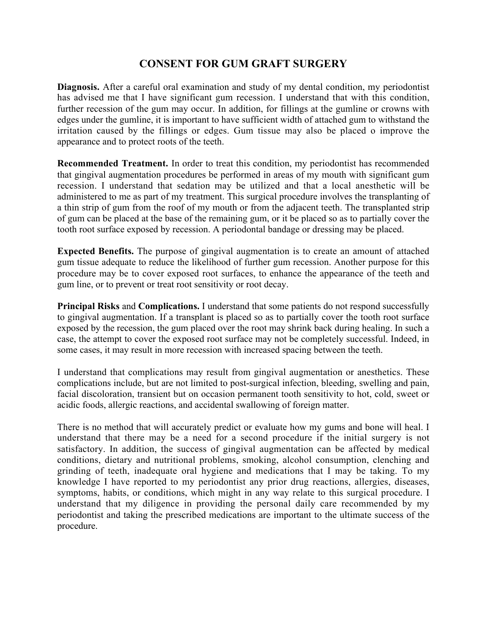## **CONSENT FOR GUM GRAFT SURGERY**

**Diagnosis.** After a careful oral examination and study of my dental condition, my periodontist has advised me that I have significant gum recession. I understand that with this condition, further recession of the gum may occur. In addition, for fillings at the gumline or crowns with edges under the gumline, it is important to have sufficient width of attached gum to withstand the irritation caused by the fillings or edges. Gum tissue may also be placed o improve the appearance and to protect roots of the teeth.

**Recommended Treatment.** In order to treat this condition, my periodontist has recommended that gingival augmentation procedures be performed in areas of my mouth with significant gum recession. I understand that sedation may be utilized and that a local anesthetic will be administered to me as part of my treatment. This surgical procedure involves the transplanting of a thin strip of gum from the roof of my mouth or from the adjacent teeth. The transplanted strip of gum can be placed at the base of the remaining gum, or it be placed so as to partially cover the tooth root surface exposed by recession. A periodontal bandage or dressing may be placed.

**Expected Benefits.** The purpose of gingival augmentation is to create an amount of attached gum tissue adequate to reduce the likelihood of further gum recession. Another purpose for this procedure may be to cover exposed root surfaces, to enhance the appearance of the teeth and gum line, or to prevent or treat root sensitivity or root decay.

**Principal Risks** and **Complications.** I understand that some patients do not respond successfully to gingival augmentation. If a transplant is placed so as to partially cover the tooth root surface exposed by the recession, the gum placed over the root may shrink back during healing. In such a case, the attempt to cover the exposed root surface may not be completely successful. Indeed, in some cases, it may result in more recession with increased spacing between the teeth.

I understand that complications may result from gingival augmentation or anesthetics. These complications include, but are not limited to post-surgical infection, bleeding, swelling and pain, facial discoloration, transient but on occasion permanent tooth sensitivity to hot, cold, sweet or acidic foods, allergic reactions, and accidental swallowing of foreign matter.

There is no method that will accurately predict or evaluate how my gums and bone will heal. I understand that there may be a need for a second procedure if the initial surgery is not satisfactory. In addition, the success of gingival augmentation can be affected by medical conditions, dietary and nutritional problems, smoking, alcohol consumption, clenching and grinding of teeth, inadequate oral hygiene and medications that I may be taking. To my knowledge I have reported to my periodontist any prior drug reactions, allergies, diseases, symptoms, habits, or conditions, which might in any way relate to this surgical procedure. I understand that my diligence in providing the personal daily care recommended by my periodontist and taking the prescribed medications are important to the ultimate success of the procedure.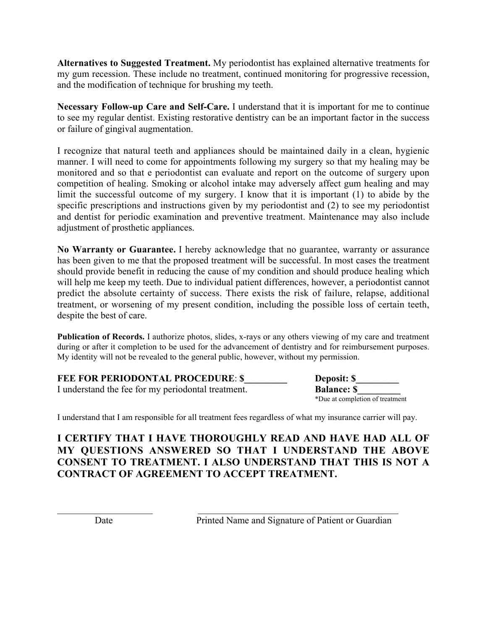**Alternatives to Suggested Treatment.** My periodontist has explained alternative treatments for my gum recession. These include no treatment, continued monitoring for progressive recession, and the modification of technique for brushing my teeth.

**Necessary Follow-up Care and Self-Care.** I understand that it is important for me to continue to see my regular dentist. Existing restorative dentistry can be an important factor in the success or failure of gingival augmentation.

I recognize that natural teeth and appliances should be maintained daily in a clean, hygienic manner. I will need to come for appointments following my surgery so that my healing may be monitored and so that e periodontist can evaluate and report on the outcome of surgery upon competition of healing. Smoking or alcohol intake may adversely affect gum healing and may limit the successful outcome of my surgery. I know that it is important (1) to abide by the specific prescriptions and instructions given by my periodontist and (2) to see my periodontist and dentist for periodic examination and preventive treatment. Maintenance may also include adjustment of prosthetic appliances.

**No Warranty or Guarantee.** I hereby acknowledge that no guarantee, warranty or assurance has been given to me that the proposed treatment will be successful. In most cases the treatment should provide benefit in reducing the cause of my condition and should produce healing which will help me keep my teeth. Due to individual patient differences, however, a periodontist cannot predict the absolute certainty of success. There exists the risk of failure, relapse, additional treatment, or worsening of my present condition, including the possible loss of certain teeth, despite the best of care.

**Publication of Records.** I authorize photos, slides, x-rays or any others viewing of my care and treatment during or after it completion to be used for the advancement of dentistry and for reimbursement purposes. My identity will not be revealed to the general public, however, without my permission.

| <b>FEE FOR PERIODONTAL PROCEDURE: \$</b>           | <b>Deposit:</b> \$              |
|----------------------------------------------------|---------------------------------|
| I understand the fee for my periodontal treatment. | <b>Balance: S</b>               |
|                                                    | *Due at completion of treatment |

I understand that I am responsible for all treatment fees regardless of what my insurance carrier will pay.

## **I CERTIFY THAT I HAVE THOROUGHLY READ AND HAVE HAD ALL OF MY QUESTIONS ANSWERED SO THAT I UNDERSTAND THE ABOVE CONSENT TO TREATMENT. I ALSO UNDERSTAND THAT THIS IS NOT A CONTRACT OF AGREEMENT TO ACCEPT TREATMENT.**

 $\mathcal{L}_\text{max}$  , and the contribution of the contribution of the contribution of the contribution of the contribution of the contribution of the contribution of the contribution of the contribution of the contribution of t

Date Printed Name and Signature of Patient or Guardian